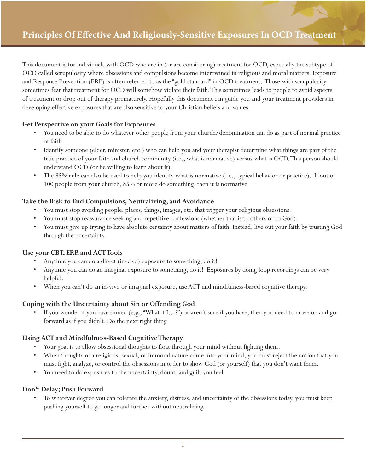This document is for individuals with OCD who are in (or are considering) treatment for OCD, especially the subtype of OCD called scrupulosity where obsessions and compulsions become intertwined in religious and moral matters. Exposure and Response Prevention (ERP) is often referred to as the "gold standard" in OCD treatment. Those with scrupulosity sometimes fear that treatment for OCD will somehow violate their faith. This sometimes leads to people to avoid aspects of treatment or drop out of therapy prematurely. Hopefully this document can guide you and your treatment providers in developing effective exposures that are also sensitive to your Christian beliefs and values.

# **Get Perspective on your Goals for Exposures**

- You need to be able to do whatever other people from your church/denomination can do as part of normal practice of faith.
- Identify someone (elder, minister, etc.) who can help you and your therapist determine what things are part of the true practice of your faith and church community (i.e., what is normative) versus what is OCD. This person should understand OCD (or be willing to learn about it).
- The 85% rule can also be used to help you identify what is normative (i.e., typical behavior or practice). If out of 100 people from your church, 85% or more do something, then it is normative.

# **Take the Risk to End Compulsions, Neutralizing, and Avoidance**

- You must stop avoiding people, places, things, images, etc. that trigger your religious obsessions.
- You must stop reassurance seeking and repetitive confessions (whether that is to others or to God).
- You must give up trying to have absolute certainty about matters of faith. Instead, live out your faith by trusting God through the uncertainty.

### **Use your CBT, ERP, and ACT Tools**

- Anytime you can do a direct (in-vivo) exposure to something, do it!
- Anytime you can do an imaginal exposure to something, do it! Exposures by doing loop recordings can be very helpful.
- When you can't do an in-vivo or imaginal exposure, use ACT and mindfulness-based cognitive therapy.

# **Coping with the Uncertainty about Sin or Offending God**

• If you wonder if you have sinned (e.g., "What if I…?") or aren't sure if you have, then you need to move on and go forward as if you didn't. Do the next right thing.

# **Using ACT and Mindfulness-Based Cognitive Therapy**

- Your goal is to allow obsessional thoughts to float through your mind without fighting them.
- When thoughts of a religious, sexual, or immoral nature come into your mind, you must reject the notion that you must fight, analyze, or control the obsessions in order to show God (or yourself) that you don't want them.
- You need to do exposures to the uncertainty, doubt, and guilt you feel.

### **Don't Delay; Push Forward**

• To whatever degree you can tolerate the anxiety, distress, and uncertainty of the obsessions today, you must keep pushing yourself to go longer and further without neutralizing.